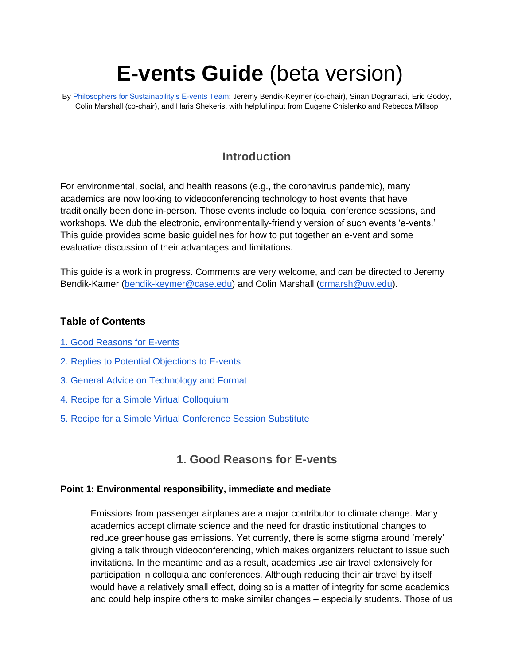# **E-vents Guide** (beta version)

By [Philosophers for Sustainability's E-vents Team:](http://www.philosophersforsustainability.com/advocacy-teams/) Jeremy Bendik-Keymer (co-chair), Sinan Dogramaci, Eric Godoy, Colin Marshall (co-chair), and Haris Shekeris, with helpful input from Eugene Chislenko and Rebecca Millsop

## **Introduction**

For environmental, social, and health reasons (e.g., the coronavirus pandemic), many academics are now looking to videoconferencing technology to host events that have traditionally been done in-person. Those events include colloquia, conference sessions, and workshops. We dub the electronic, environmentally-friendly version of such events 'e-vents.' This guide provides some basic guidelines for how to put together an e-vent and some evaluative discussion of their advantages and limitations.

This guide is a work in progress. Comments are very welcome, and can be directed to Jeremy Bendik-Kamer [\(bendik-keymer@case.edu\)](mailto:bendik-keymer@case.edu) and Colin Marshall [\(crmarsh@uw.edu\)](mailto:crmarsh@uw.edu).

## **Table of Contents**

- [1. Good Reasons for E-vents](#page-0-0)
- [2. Replies to Potential Objections to E-vents](#page-2-0)
- [3. General Advice on Technology and Format](#page-4-0)
- [4. Recipe for a Simple Virtual Colloquium](#page-6-0)
- <span id="page-0-0"></span>[5. Recipe for a Simple Virtual Conference Session Substitute](#page-7-0)

## **1. Good Reasons for E-vents**

#### **Point 1: Environmental responsibility, immediate and mediate**

Emissions from passenger airplanes are a major contributor to climate change. Many academics accept climate science and the need for drastic institutional changes to reduce greenhouse gas emissions. Yet currently, there is some stigma around 'merely' giving a talk through videoconferencing, which makes organizers reluctant to issue such invitations. In the meantime and as a result, academics use air travel extensively for participation in colloquia and conferences. Although reducing their air travel by itself would have a relatively small effect, doing so is a matter of integrity for some academics and could help inspire others to make similar changes – especially students. Those of us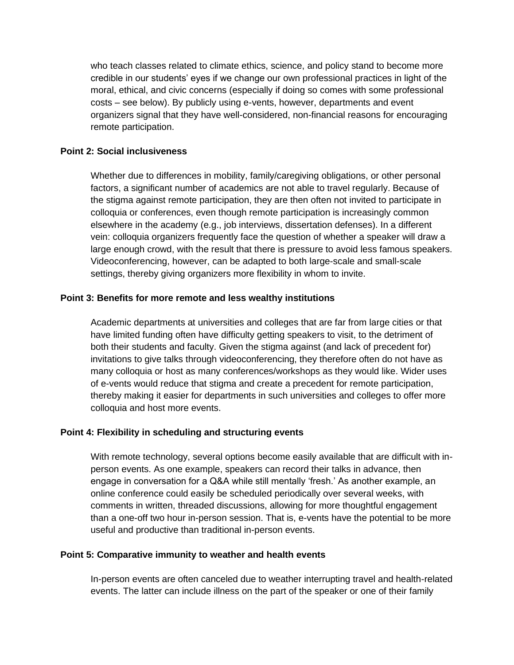who teach classes related to climate ethics, science, and policy stand to become more credible in our students' eyes if we change our own professional practices in light of the moral, ethical, and civic concerns (especially if doing so comes with some professional costs – see below). By publicly using e-vents, however, departments and event organizers signal that they have well-considered, non-financial reasons for encouraging remote participation.

#### **Point 2: Social inclusiveness**

Whether due to differences in mobility, family/caregiving obligations, or other personal factors, a significant number of academics are not able to travel regularly. Because of the stigma against remote participation, they are then often not invited to participate in colloquia or conferences, even though remote participation is increasingly common elsewhere in the academy (e.g., job interviews, dissertation defenses). In a different vein: colloquia organizers frequently face the question of whether a speaker will draw a large enough crowd, with the result that there is pressure to avoid less famous speakers. Videoconferencing, however, can be adapted to both large-scale and small-scale settings, thereby giving organizers more flexibility in whom to invite.

#### **Point 3: Benefits for more remote and less wealthy institutions**

Academic departments at universities and colleges that are far from large cities or that have limited funding often have difficulty getting speakers to visit, to the detriment of both their students and faculty. Given the stigma against (and lack of precedent for) invitations to give talks through videoconferencing, they therefore often do not have as many colloquia or host as many conferences/workshops as they would like. Wider uses of e-vents would reduce that stigma and create a precedent for remote participation, thereby making it easier for departments in such universities and colleges to offer more colloquia and host more events.

#### **Point 4: Flexibility in scheduling and structuring events**

With remote technology, several options become easily available that are difficult with inperson events. As one example, speakers can record their talks in advance, then engage in conversation for a Q&A while still mentally 'fresh.' As another example, an online conference could easily be scheduled periodically over several weeks, with comments in written, threaded discussions, allowing for more thoughtful engagement than a one-off two hour in-person session. That is, e-vents have the potential to be more useful and productive than traditional in-person events.

#### **Point 5: Comparative immunity to weather and health events**

In-person events are often canceled due to weather interrupting travel and health-related events. The latter can include illness on the part of the speaker or one of their family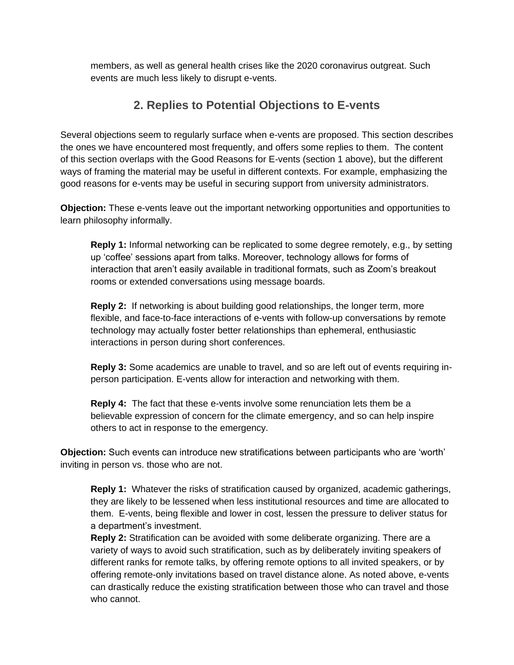<span id="page-2-0"></span>members, as well as general health crises like the 2020 coronavirus outgreat. Such events are much less likely to disrupt e-vents.

## **2. Replies to Potential Objections to E-vents**

Several objections seem to regularly surface when e-vents are proposed. This section describes the ones we have encountered most frequently, and offers some replies to them. The content of this section overlaps with the Good Reasons for E-vents (section 1 above), but the different ways of framing the material may be useful in different contexts. For example, emphasizing the good reasons for e-vents may be useful in securing support from university administrators.

**Objection:** These e-vents leave out the important networking opportunities and opportunities to learn philosophy informally.

**Reply 1:** Informal networking can be replicated to some degree remotely, e.g., by setting up 'coffee' sessions apart from talks. Moreover, technology allows for forms of interaction that aren't easily available in traditional formats, such as Zoom's breakout rooms or extended conversations using message boards.

**Reply 2:** If networking is about building good relationships, the longer term, more flexible, and face-to-face interactions of e-vents with follow-up conversations by remote technology may actually foster better relationships than ephemeral, enthusiastic interactions in person during short conferences.

**Reply 3:** Some academics are unable to travel, and so are left out of events requiring inperson participation. E-vents allow for interaction and networking with them.

**Reply 4:** The fact that these e-vents involve some renunciation lets them be a believable expression of concern for the climate emergency, and so can help inspire others to act in response to the emergency.

**Objection:** Such events can introduce new stratifications between participants who are 'worth' inviting in person vs. those who are not.

**Reply 1:** Whatever the risks of stratification caused by organized, academic gatherings, they are likely to be lessened when less institutional resources and time are allocated to them. E-vents, being flexible and lower in cost, lessen the pressure to deliver status for a department's investment.

**Reply 2:** Stratification can be avoided with some deliberate organizing. There are a variety of ways to avoid such stratification, such as by deliberately inviting speakers of different ranks for remote talks, by offering remote options to all invited speakers, or by offering remote-only invitations based on travel distance alone. As noted above, e-vents can drastically reduce the existing stratification between those who can travel and those who cannot.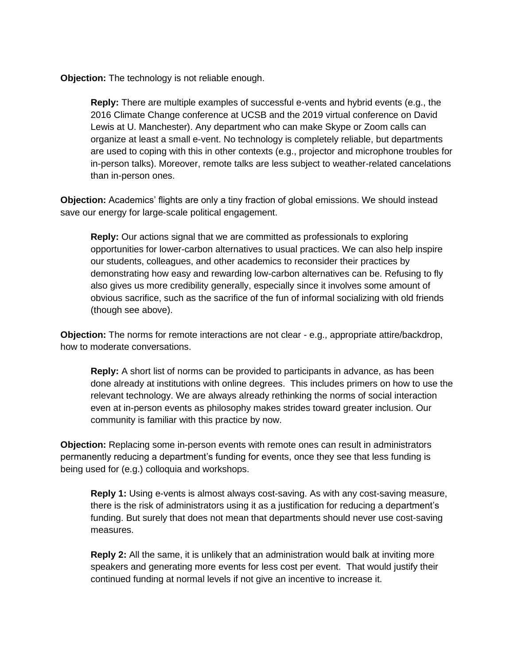**Objection:** The technology is not reliable enough.

**Reply:** There are multiple examples of successful e-vents and hybrid events (e.g., the 2016 Climate Change conference at UCSB and the 2019 virtual conference on David Lewis at U. Manchester). Any department who can make Skype or Zoom calls can organize at least a small e-vent. No technology is completely reliable, but departments are used to coping with this in other contexts (e.g., projector and microphone troubles for in-person talks). Moreover, remote talks are less subject to weather-related cancelations than in-person ones.

**Objection:** Academics' flights are only a tiny fraction of global emissions. We should instead save our energy for large-scale political engagement.

**Reply:** Our actions signal that we are committed as professionals to exploring opportunities for lower-carbon alternatives to usual practices. We can also help inspire our students, colleagues, and other academics to reconsider their practices by demonstrating how easy and rewarding low-carbon alternatives can be. Refusing to fly also gives us more credibility generally, especially since it involves some amount of obvious sacrifice, such as the sacrifice of the fun of informal socializing with old friends (though see above).

**Objection:** The norms for remote interactions are not clear - e.g., appropriate attire/backdrop, how to moderate conversations.

**Reply:** A short list of norms can be provided to participants in advance, as has been done already at institutions with online degrees. This includes primers on how to use the relevant technology. We are always already rethinking the norms of social interaction even at in-person events as philosophy makes strides toward greater inclusion. Our community is familiar with this practice by now.

**Objection:** Replacing some in-person events with remote ones can result in administrators permanently reducing a department's funding for events, once they see that less funding is being used for (e.g.) colloquia and workshops.

**Reply 1:** Using e-vents is almost always cost-saving. As with any cost-saving measure, there is the risk of administrators using it as a justification for reducing a department's funding. But surely that does not mean that departments should never use cost-saving measures.

**Reply 2:** All the same, it is unlikely that an administration would balk at inviting more speakers and generating more events for less cost per event. That would justify their continued funding at normal levels if not give an incentive to increase it.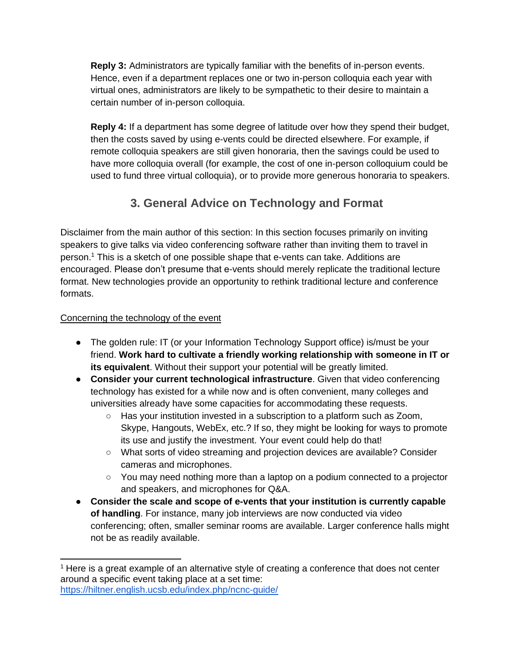**Reply 3:** Administrators are typically familiar with the benefits of in-person events. Hence, even if a department replaces one or two in-person colloquia each year with virtual ones, administrators are likely to be sympathetic to their desire to maintain a certain number of in-person colloquia.

**Reply 4:** If a department has some degree of latitude over how they spend their budget, then the costs saved by using e-vents could be directed elsewhere. For example, if remote colloquia speakers are still given honoraria, then the savings could be used to have more colloquia overall (for example, the cost of one in-person colloquium could be used to fund three virtual colloquia), or to provide more generous honoraria to speakers.

## **3. General Advice on Technology and Format**

<span id="page-4-0"></span>Disclaimer from the main author of this section: In this section focuses primarily on inviting speakers to give talks via video conferencing software rather than inviting them to travel in person.<sup>1</sup> This is a sketch of one possible shape that e-vents can take. Additions are encouraged. Please don't presume that e-vents should merely replicate the traditional lecture format. New technologies provide an opportunity to rethink traditional lecture and conference formats.

### Concerning the technology of the event

- The golden rule: IT (or your Information Technology Support office) is/must be your friend. **Work hard to cultivate a friendly working relationship with someone in IT or its equivalent**. Without their support your potential will be greatly limited.
- **Consider your current technological infrastructure**. Given that video conferencing technology has existed for a while now and is often convenient, many colleges and universities already have some capacities for accommodating these requests.
	- Has your institution invested in a subscription to a platform such as Zoom, Skype, Hangouts, WebEx, etc.? If so, they might be looking for ways to promote its use and justify the investment. Your event could help do that!
	- What sorts of video streaming and projection devices are available? Consider cameras and microphones.
	- You may need nothing more than a laptop on a podium connected to a projector and speakers, and microphones for Q&A.
- **Consider the scale and scope of e-vents that your institution is currently capable of handling**. For instance, many job interviews are now conducted via video conferencing; often, smaller seminar rooms are available. Larger conference halls might not be as readily available.

 $1$  Here is a great example of an alternative style of creating a conference that does not center around a specific event taking place at a set time: <https://hiltner.english.ucsb.edu/index.php/ncnc-guide/>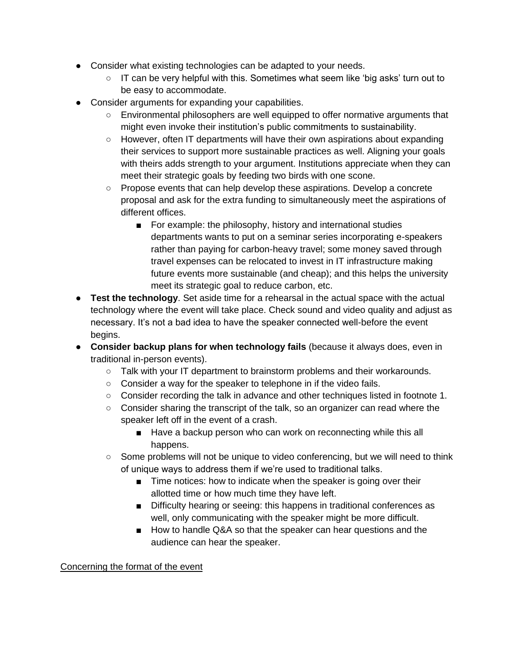- Consider what existing technologies can be adapted to your needs.
	- IT can be very helpful with this. Sometimes what seem like 'big asks' turn out to be easy to accommodate.
- Consider arguments for expanding your capabilities.
	- Environmental philosophers are well equipped to offer normative arguments that might even invoke their institution's public commitments to sustainability.
	- However, often IT departments will have their own aspirations about expanding their services to support more sustainable practices as well. Aligning your goals with theirs adds strength to your argument. Institutions appreciate when they can meet their strategic goals by feeding two birds with one scone.
	- Propose events that can help develop these aspirations. Develop a concrete proposal and ask for the extra funding to simultaneously meet the aspirations of different offices.
		- For example: the philosophy, history and international studies departments wants to put on a seminar series incorporating e-speakers rather than paying for carbon-heavy travel; some money saved through travel expenses can be relocated to invest in IT infrastructure making future events more sustainable (and cheap); and this helps the university meet its strategic goal to reduce carbon, etc.
- **Test the technology**. Set aside time for a rehearsal in the actual space with the actual technology where the event will take place. Check sound and video quality and adjust as necessary. It's not a bad idea to have the speaker connected well-before the event begins.
- **Consider backup plans for when technology fails** (because it always does, even in traditional in-person events).
	- Talk with your IT department to brainstorm problems and their workarounds.
	- Consider a way for the speaker to telephone in if the video fails.
	- Consider recording the talk in advance and other techniques listed in footnote 1.
	- Consider sharing the transcript of the talk, so an organizer can read where the speaker left off in the event of a crash.
		- Have a backup person who can work on reconnecting while this all happens.
	- Some problems will not be unique to video conferencing, but we will need to think of unique ways to address them if we're used to traditional talks.
		- Time notices: how to indicate when the speaker is going over their allotted time or how much time they have left.
		- Difficulty hearing or seeing: this happens in traditional conferences as well, only communicating with the speaker might be more difficult.
		- How to handle Q&A so that the speaker can hear questions and the audience can hear the speaker.

Concerning the format of the event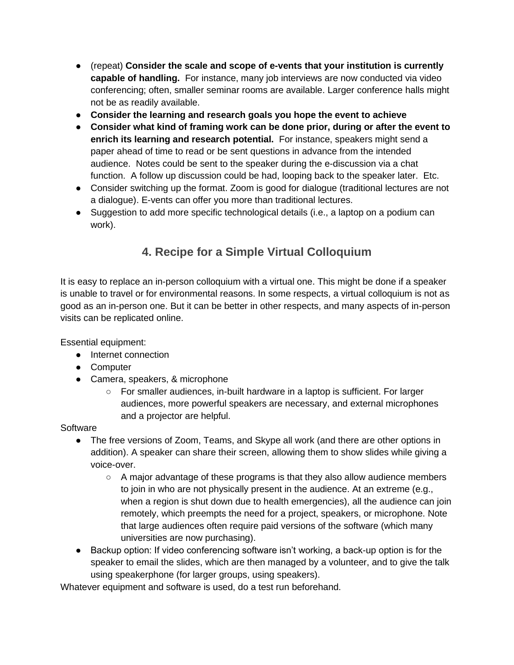- (repeat) **Consider the scale and scope of e-vents that your institution is currently capable of handling.** For instance, many job interviews are now conducted via video conferencing; often, smaller seminar rooms are available. Larger conference halls might not be as readily available.
- **Consider the learning and research goals you hope the event to achieve**
- **Consider what kind of framing work can be done prior, during or after the event to enrich its learning and research potential.** For instance, speakers might send a paper ahead of time to read or be sent questions in advance from the intended audience. Notes could be sent to the speaker during the e-discussion via a chat function. A follow up discussion could be had, looping back to the speaker later. Etc.
- Consider switching up the format. Zoom is good for dialogue (traditional lectures are not a dialogue). E-vents can offer you more than traditional lectures.
- <span id="page-6-0"></span>• Suggestion to add more specific technological details (i.e., a laptop on a podium can work).

# **4. Recipe for a Simple Virtual Colloquium**

It is easy to replace an in-person colloquium with a virtual one. This might be done if a speaker is unable to travel or for environmental reasons. In some respects, a virtual colloquium is not as good as an in-person one. But it can be better in other respects, and many aspects of in-person visits can be replicated online.

Essential equipment:

- Internet connection
- Computer
- Camera, speakers, & microphone
	- For smaller audiences, in-built hardware in a laptop is sufficient. For larger audiences, more powerful speakers are necessary, and external microphones and a projector are helpful.

**Software** 

- The free versions of Zoom, Teams, and Skype all work (and there are other options in addition). A speaker can share their screen, allowing them to show slides while giving a voice-over.
	- $\circ$  A major advantage of these programs is that they also allow audience members to join in who are not physically present in the audience. At an extreme (e.g., when a region is shut down due to health emergencies), all the audience can join remotely, which preempts the need for a project, speakers, or microphone. Note that large audiences often require paid versions of the software (which many universities are now purchasing).
- Backup option: If video conferencing software isn't working, a back-up option is for the speaker to email the slides, which are then managed by a volunteer, and to give the talk using speakerphone (for larger groups, using speakers).

Whatever equipment and software is used, do a test run beforehand.